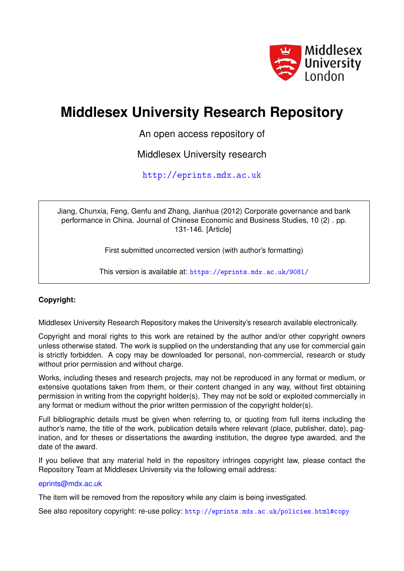

# **Middlesex University Research Repository**

An open access repository of

Middlesex University research

<http://eprints.mdx.ac.uk>

Jiang, Chunxia, Feng, Genfu and Zhang, Jianhua (2012) Corporate governance and bank performance in China. Journal of Chinese Economic and Business Studies, 10 (2) . pp. 131-146. [Article]

First submitted uncorrected version (with author's formatting)

This version is available at: <https://eprints.mdx.ac.uk/9081/>

# **Copyright:**

Middlesex University Research Repository makes the University's research available electronically.

Copyright and moral rights to this work are retained by the author and/or other copyright owners unless otherwise stated. The work is supplied on the understanding that any use for commercial gain is strictly forbidden. A copy may be downloaded for personal, non-commercial, research or study without prior permission and without charge.

Works, including theses and research projects, may not be reproduced in any format or medium, or extensive quotations taken from them, or their content changed in any way, without first obtaining permission in writing from the copyright holder(s). They may not be sold or exploited commercially in any format or medium without the prior written permission of the copyright holder(s).

Full bibliographic details must be given when referring to, or quoting from full items including the author's name, the title of the work, publication details where relevant (place, publisher, date), pagination, and for theses or dissertations the awarding institution, the degree type awarded, and the date of the award.

If you believe that any material held in the repository infringes copyright law, please contact the Repository Team at Middlesex University via the following email address:

## [eprints@mdx.ac.uk](mailto:eprints@mdx.ac.uk)

The item will be removed from the repository while any claim is being investigated.

See also repository copyright: re-use policy: <http://eprints.mdx.ac.uk/policies.html#copy>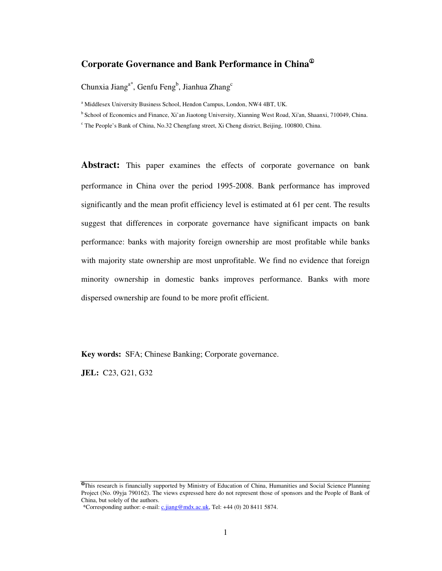# **Corporate Governance and Bank Performance in China**<sup>①</sup>

Chunxia Jiang<sup>a\*</sup>, Genfu Feng<sup>b</sup>, Jianhua Zhang<sup>c</sup>

<sup>a</sup> Middlesex University Business School, Hendon Campus, London, NW4 4BT, UK.

<sup>b</sup> School of Economics and Finance, Xi'an Jiaotong University, Xianning West Road, Xi'an, Shaanxi, 710049, China.

<sup>c</sup> The People's Bank of China, No.32 Chengfang street, Xi Cheng district, Beijing, 100800, China.

**Abstract:** This paper examines the effects of corporate governance on bank performance in China over the period 1995-2008. Bank performance has improved significantly and the mean profit efficiency level is estimated at 61 per cent. The results suggest that differences in corporate governance have significant impacts on bank performance: banks with majority foreign ownership are most profitable while banks with majority state ownership are most unprofitable. We find no evidence that foreign minority ownership in domestic banks improves performance. Banks with more dispersed ownership are found to be more profit efficient.

**Key words:** SFA; Chinese Banking; Corporate governance.

**JEL:** C23, G21, G32

<sup>&</sup>lt;sup>This</sup> research is financially supported by Ministry of Education of China, Humanities and Social Science Planning Project (No. 09yja 790162). The views expressed here do not represent those of sponsors and the People of Bank of China, but solely of the authors.

 <sup>\*</sup>Corresponding author: e-mail: c.jiang@mdx.ac.uk, Tel: +44 (0) 20 8411 5874.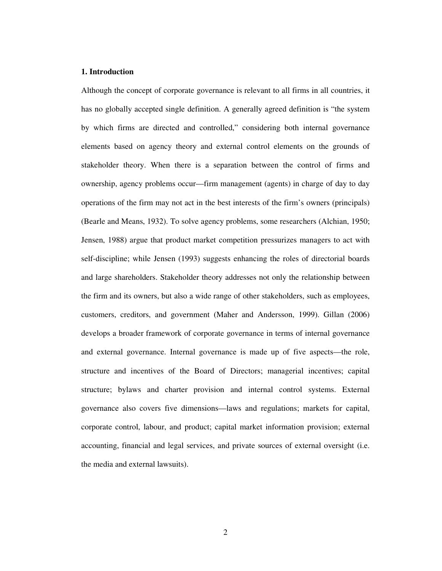#### **1. Introduction**

Although the concept of corporate governance is relevant to all firms in all countries, it has no globally accepted single definition. A generally agreed definition is "the system by which firms are directed and controlled," considering both internal governance elements based on agency theory and external control elements on the grounds of stakeholder theory. When there is a separation between the control of firms and ownership, agency problems occur—firm management (agents) in charge of day to day operations of the firm may not act in the best interests of the firm's owners (principals) (Bearle and Means, 1932). To solve agency problems, some researchers (Alchian, 1950; Jensen, 1988) argue that product market competition pressurizes managers to act with self-discipline; while Jensen (1993) suggests enhancing the roles of directorial boards and large shareholders. Stakeholder theory addresses not only the relationship between the firm and its owners, but also a wide range of other stakeholders, such as employees, customers, creditors, and government (Maher and Andersson, 1999). Gillan (2006) develops a broader framework of corporate governance in terms of internal governance and external governance. Internal governance is made up of five aspects—the role, structure and incentives of the Board of Directors; managerial incentives; capital structure; bylaws and charter provision and internal control systems. External governance also covers five dimensions—laws and regulations; markets for capital, corporate control, labour, and product; capital market information provision; external accounting, financial and legal services, and private sources of external oversight (i.e. the media and external lawsuits).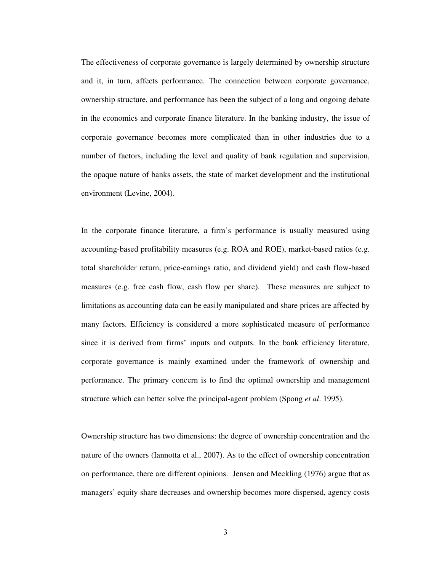The effectiveness of corporate governance is largely determined by ownership structure and it, in turn, affects performance. The connection between corporate governance, ownership structure, and performance has been the subject of a long and ongoing debate in the economics and corporate finance literature. In the banking industry, the issue of corporate governance becomes more complicated than in other industries due to a number of factors, including the level and quality of bank regulation and supervision, the opaque nature of banks assets, the state of market development and the institutional environment (Levine, 2004).

In the corporate finance literature, a firm's performance is usually measured using accounting-based profitability measures (e.g. ROA and ROE), market-based ratios (e.g. total shareholder return, price-earnings ratio, and dividend yield) and cash flow-based measures (e.g. free cash flow, cash flow per share). These measures are subject to limitations as accounting data can be easily manipulated and share prices are affected by many factors. Efficiency is considered a more sophisticated measure of performance since it is derived from firms' inputs and outputs. In the bank efficiency literature, corporate governance is mainly examined under the framework of ownership and performance. The primary concern is to find the optimal ownership and management structure which can better solve the principal-agent problem (Spong *et al*. 1995).

Ownership structure has two dimensions: the degree of ownership concentration and the nature of the owners (Iannotta et al., 2007). As to the effect of ownership concentration on performance, there are different opinions. Jensen and Meckling (1976) argue that as managers' equity share decreases and ownership becomes more dispersed, agency costs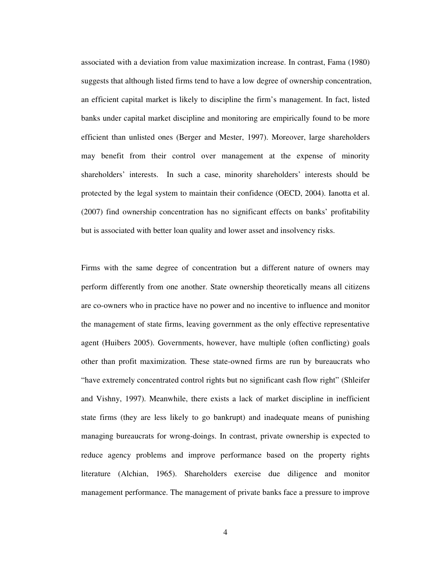associated with a deviation from value maximization increase. In contrast, Fama (1980) suggests that although listed firms tend to have a low degree of ownership concentration, an efficient capital market is likely to discipline the firm's management. In fact, listed banks under capital market discipline and monitoring are empirically found to be more efficient than unlisted ones (Berger and Mester, 1997). Moreover, large shareholders may benefit from their control over management at the expense of minority shareholders' interests. In such a case, minority shareholders' interests should be protected by the legal system to maintain their confidence (OECD, 2004). Ianotta et al. (2007) find ownership concentration has no significant effects on banks' profitability but is associated with better loan quality and lower asset and insolvency risks.

Firms with the same degree of concentration but a different nature of owners may perform differently from one another. State ownership theoretically means all citizens are co-owners who in practice have no power and no incentive to influence and monitor the management of state firms, leaving government as the only effective representative agent (Huibers 2005). Governments, however, have multiple (often conflicting) goals other than profit maximization. These state-owned firms are run by bureaucrats who "have extremely concentrated control rights but no significant cash flow right" (Shleifer and Vishny, 1997). Meanwhile, there exists a lack of market discipline in inefficient state firms (they are less likely to go bankrupt) and inadequate means of punishing managing bureaucrats for wrong-doings. In contrast, private ownership is expected to reduce agency problems and improve performance based on the property rights literature (Alchian, 1965). Shareholders exercise due diligence and monitor management performance. The management of private banks face a pressure to improve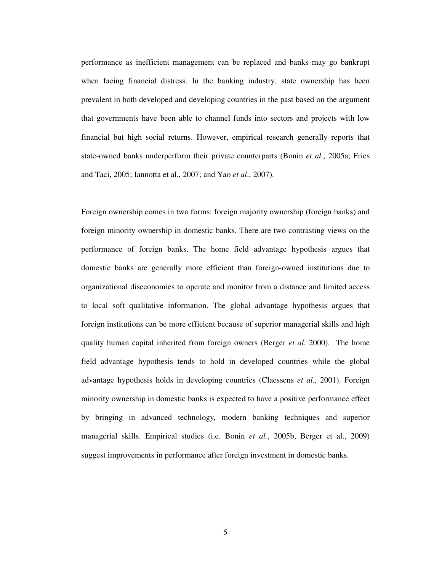performance as inefficient management can be replaced and banks may go bankrupt when facing financial distress. In the banking industry, state ownership has been prevalent in both developed and developing countries in the past based on the argument that governments have been able to channel funds into sectors and projects with low financial but high social returns. However, empirical research generally reports that state-owned banks underperform their private counterparts (Bonin *et al*., 2005a; Fries and Taci, 2005; Iannotta et al., 2007; and Yao *et al*., 2007).

Foreign ownership comes in two forms: foreign majority ownership (foreign banks) and foreign minority ownership in domestic banks. There are two contrasting views on the performance of foreign banks. The home field advantage hypothesis argues that domestic banks are generally more efficient than foreign-owned institutions due to organizational diseconomies to operate and monitor from a distance and limited access to local soft qualitative information. The global advantage hypothesis argues that foreign institutions can be more efficient because of superior managerial skills and high quality human capital inherited from foreign owners (Berger *et al*. 2000). The home field advantage hypothesis tends to hold in developed countries while the global advantage hypothesis holds in developing countries (Claessens *et al*., 2001). Foreign minority ownership in domestic banks is expected to have a positive performance effect by bringing in advanced technology, modern banking techniques and superior managerial skills. Empirical studies (i.e. Bonin *et al.*, 2005b, Berger et al., 2009) suggest improvements in performance after foreign investment in domestic banks.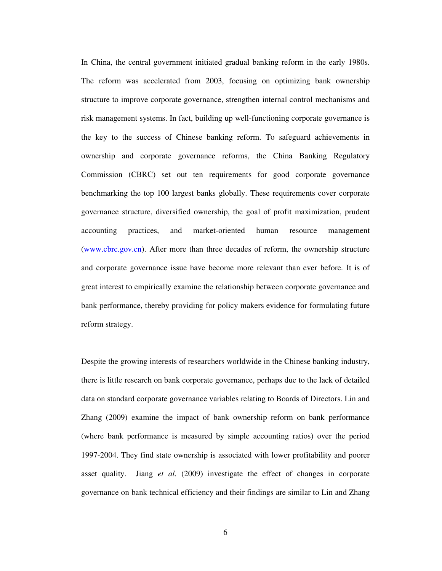In China, the central government initiated gradual banking reform in the early 1980s. The reform was accelerated from 2003, focusing on optimizing bank ownership structure to improve corporate governance, strengthen internal control mechanisms and risk management systems. In fact, building up well-functioning corporate governance is the key to the success of Chinese banking reform. To safeguard achievements in ownership and corporate governance reforms, the China Banking Regulatory Commission (CBRC) set out ten requirements for good corporate governance benchmarking the top 100 largest banks globally. These requirements cover corporate governance structure, diversified ownership, the goal of profit maximization, prudent accounting practices, and market-oriented human resource management (www.cbrc.gov.cn). After more than three decades of reform, the ownership structure and corporate governance issue have become more relevant than ever before. It is of great interest to empirically examine the relationship between corporate governance and bank performance, thereby providing for policy makers evidence for formulating future reform strategy.

Despite the growing interests of researchers worldwide in the Chinese banking industry, there is little research on bank corporate governance, perhaps due to the lack of detailed data on standard corporate governance variables relating to Boards of Directors. Lin and Zhang (2009) examine the impact of bank ownership reform on bank performance (where bank performance is measured by simple accounting ratios) over the period 1997-2004. They find state ownership is associated with lower profitability and poorer asset quality. Jiang *et al*. (2009) investigate the effect of changes in corporate governance on bank technical efficiency and their findings are similar to Lin and Zhang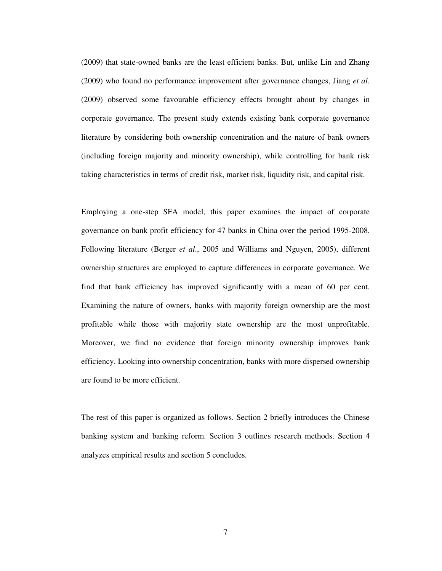(2009) that state-owned banks are the least efficient banks. But, unlike Lin and Zhang (2009) who found no performance improvement after governance changes, Jiang *et al*. (2009) observed some favourable efficiency effects brought about by changes in corporate governance. The present study extends existing bank corporate governance literature by considering both ownership concentration and the nature of bank owners (including foreign majority and minority ownership), while controlling for bank risk taking characteristics in terms of credit risk, market risk, liquidity risk, and capital risk.

Employing a one-step SFA model, this paper examines the impact of corporate governance on bank profit efficiency for 47 banks in China over the period 1995-2008. Following literature (Berger *et al*., 2005 and Williams and Nguyen, 2005), different ownership structures are employed to capture differences in corporate governance. We find that bank efficiency has improved significantly with a mean of 60 per cent. Examining the nature of owners, banks with majority foreign ownership are the most profitable while those with majority state ownership are the most unprofitable. Moreover, we find no evidence that foreign minority ownership improves bank efficiency. Looking into ownership concentration, banks with more dispersed ownership are found to be more efficient.

The rest of this paper is organized as follows. Section 2 briefly introduces the Chinese banking system and banking reform. Section 3 outlines research methods. Section 4 analyzes empirical results and section 5 concludes.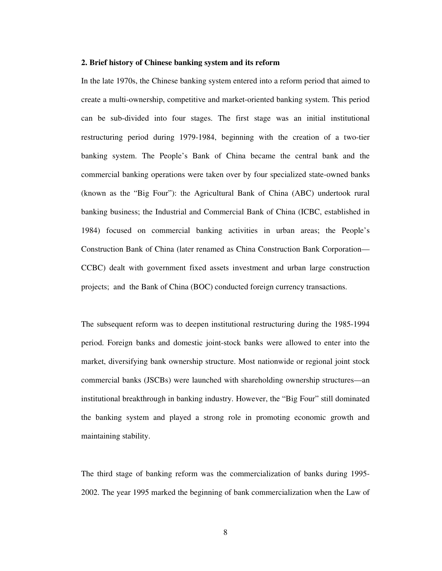#### **2. Brief history of Chinese banking system and its reform**

In the late 1970s, the Chinese banking system entered into a reform period that aimed to create a multi-ownership, competitive and market-oriented banking system. This period can be sub-divided into four stages. The first stage was an initial institutional restructuring period during 1979-1984, beginning with the creation of a two-tier banking system. The People's Bank of China became the central bank and the commercial banking operations were taken over by four specialized state-owned banks (known as the "Big Four"): the Agricultural Bank of China (ABC) undertook rural banking business; the Industrial and Commercial Bank of China (ICBC, established in 1984) focused on commercial banking activities in urban areas; the People's Construction Bank of China (later renamed as China Construction Bank Corporation— CCBC) dealt with government fixed assets investment and urban large construction projects; and the Bank of China (BOC) conducted foreign currency transactions.

The subsequent reform was to deepen institutional restructuring during the 1985-1994 period. Foreign banks and domestic joint-stock banks were allowed to enter into the market, diversifying bank ownership structure. Most nationwide or regional joint stock commercial banks (JSCBs) were launched with shareholding ownership structures—an institutional breakthrough in banking industry. However, the "Big Four" still dominated the banking system and played a strong role in promoting economic growth and maintaining stability.

The third stage of banking reform was the commercialization of banks during 1995- 2002. The year 1995 marked the beginning of bank commercialization when the Law of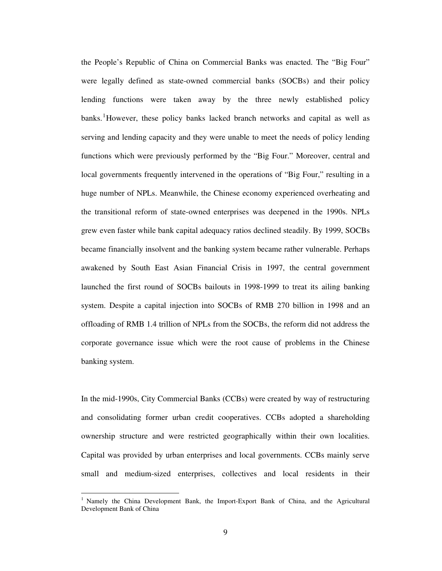the People's Republic of China on Commercial Banks was enacted. The "Big Four" were legally defined as state-owned commercial banks (SOCBs) and their policy lending functions were taken away by the three newly established policy banks.<sup>1</sup>However, these policy banks lacked branch networks and capital as well as serving and lending capacity and they were unable to meet the needs of policy lending functions which were previously performed by the "Big Four." Moreover, central and local governments frequently intervened in the operations of "Big Four," resulting in a huge number of NPLs. Meanwhile, the Chinese economy experienced overheating and the transitional reform of state-owned enterprises was deepened in the 1990s. NPLs grew even faster while bank capital adequacy ratios declined steadily. By 1999, SOCBs became financially insolvent and the banking system became rather vulnerable. Perhaps awakened by South East Asian Financial Crisis in 1997, the central government launched the first round of SOCBs bailouts in 1998-1999 to treat its ailing banking system. Despite a capital injection into SOCBs of RMB 270 billion in 1998 and an offloading of RMB 1.4 trillion of NPLs from the SOCBs, the reform did not address the corporate governance issue which were the root cause of problems in the Chinese banking system.

In the mid-1990s, City Commercial Banks (CCBs) were created by way of restructuring and consolidating former urban credit cooperatives. CCBs adopted a shareholding ownership structure and were restricted geographically within their own localities. Capital was provided by urban enterprises and local governments. CCBs mainly serve small and medium-sized enterprises, collectives and local residents in their

 $\overline{a}$ 

<sup>&</sup>lt;sup>1</sup> Namely the China Development Bank, the Import-Export Bank of China, and the Agricultural Development Bank of China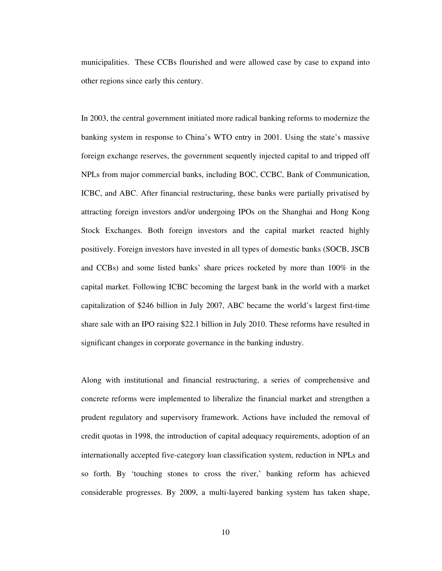municipalities. These CCBs flourished and were allowed case by case to expand into other regions since early this century.

In 2003, the central government initiated more radical banking reforms to modernize the banking system in response to China's WTO entry in 2001. Using the state's massive foreign exchange reserves, the government sequently injected capital to and tripped off NPLs from major commercial banks, including BOC, CCBC, Bank of Communication, ICBC, and ABC. After financial restructuring, these banks were partially privatised by attracting foreign investors and/or undergoing IPOs on the Shanghai and Hong Kong Stock Exchanges. Both foreign investors and the capital market reacted highly positively. Foreign investors have invested in all types of domestic banks (SOCB, JSCB and CCBs) and some listed banks' share prices rocketed by more than 100% in the capital market. Following ICBC becoming the largest bank in the world with a market capitalization of \$246 billion in July 2007, ABC became the world's largest first-time share sale with an IPO raising \$22.1 billion in July 2010. These reforms have resulted in significant changes in corporate governance in the banking industry.

Along with institutional and financial restructuring, a series of comprehensive and concrete reforms were implemented to liberalize the financial market and strengthen a prudent regulatory and supervisory framework. Actions have included the removal of credit quotas in 1998, the introduction of capital adequacy requirements, adoption of an internationally accepted five-category loan classification system, reduction in NPLs and so forth. By 'touching stones to cross the river,' banking reform has achieved considerable progresses. By 2009, a multi-layered banking system has taken shape,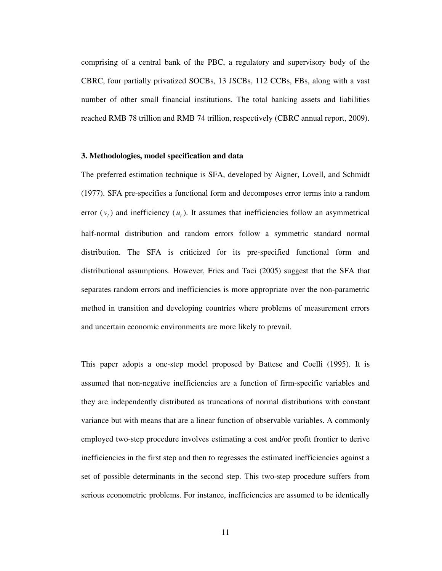comprising of a central bank of the PBC, a regulatory and supervisory body of the CBRC, four partially privatized SOCBs, 13 JSCBs, 112 CCBs, FBs, along with a vast number of other small financial institutions. The total banking assets and liabilities reached RMB 78 trillion and RMB 74 trillion, respectively (CBRC annual report, 2009).

#### **3. Methodologies, model specification and data**

The preferred estimation technique is SFA, developed by Aigner, Lovell, and Schmidt (1977). SFA pre-specifies a functional form and decomposes error terms into a random error  $(v_i)$  and inefficiency  $(u_i)$ . It assumes that inefficiencies follow an asymmetrical half-normal distribution and random errors follow a symmetric standard normal distribution. The SFA is criticized for its pre-specified functional form and distributional assumptions. However, Fries and Taci (2005) suggest that the SFA that separates random errors and inefficiencies is more appropriate over the non-parametric method in transition and developing countries where problems of measurement errors and uncertain economic environments are more likely to prevail.

This paper adopts a one-step model proposed by Battese and Coelli (1995). It is assumed that non-negative inefficiencies are a function of firm-specific variables and they are independently distributed as truncations of normal distributions with constant variance but with means that are a linear function of observable variables. A commonly employed two-step procedure involves estimating a cost and/or profit frontier to derive inefficiencies in the first step and then to regresses the estimated inefficiencies against a set of possible determinants in the second step. This two-step procedure suffers from serious econometric problems. For instance, inefficiencies are assumed to be identically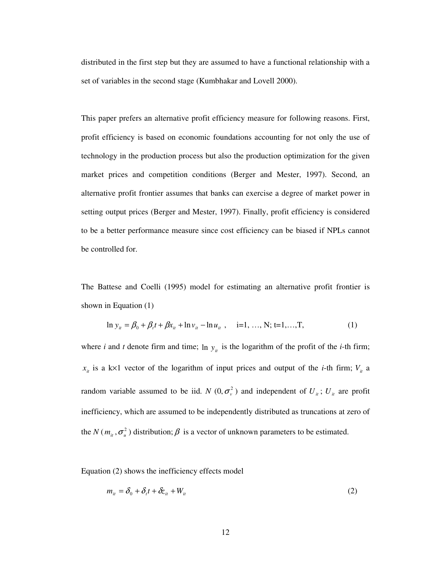distributed in the first step but they are assumed to have a functional relationship with a set of variables in the second stage (Kumbhakar and Lovell 2000).

This paper prefers an alternative profit efficiency measure for following reasons. First, profit efficiency is based on economic foundations accounting for not only the use of technology in the production process but also the production optimization for the given market prices and competition conditions (Berger and Mester, 1997). Second, an alternative profit frontier assumes that banks can exercise a degree of market power in setting output prices (Berger and Mester, 1997). Finally, profit efficiency is considered to be a better performance measure since cost efficiency can be biased if NPLs cannot be controlled for.

The Battese and Coelli (1995) model for estimating an alternative profit frontier is shown in Equation (1)

$$
\ln y_{ii} = \beta_0 + \beta_t t + \beta x_{ii} + \ln v_{ii} - \ln u_{ii}, \quad i=1,..., N; t=1,..., T,
$$
 (1)

where *i* and *t* denote firm and time;  $\ln y_i$  is the logarithm of the profit of the *i*-th firm;  $x_{ii}$  is a k×1 vector of the logarithm of input prices and output of the *i*-th firm;  $V_{ii}$  a random variable assumed to be iid. *N*  $(0, \sigma_v^2)$  and independent of  $U_i$ ;  $U_i$  are profit inefficiency, which are assumed to be independently distributed as truncations at zero of the *N* ( $m_{it}$ ,  $\sigma_u^2$ ) distribution;  $\beta$  is a vector of unknown parameters to be estimated.

Equation (2) shows the inefficiency effects model

$$
m_{ii} = \delta_0 + \delta_i t + \delta z_{ii} + W_{ii}
$$
 (2)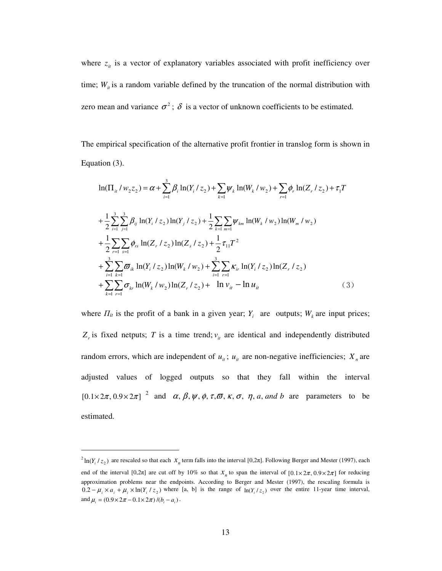where  $z_{it}$  is a vector of explanatory variables associated with profit inefficiency over time;  $W_{ii}$  is a random variable defined by the truncation of the normal distribution with zero mean and variance  $\sigma^2$ ;  $\delta$  is a vector of unknown coefficients to be estimated.

The empirical specification of the alternative profit frontier in translog form is shown in Equation (3).

$$
\ln(\Pi_{it} / w_2 z_2) = \alpha + \sum_{i=1}^{3} \beta_i \ln(Y_i / z_2) + \sum_{k=1}^{3} \psi_k \ln(W_k / w_2) + \sum_{r=1}^{\infty} \phi_r \ln(Z_r / z_2) + \tau_1 T
$$
  
+  $\frac{1}{2} \sum_{i=1}^{3} \sum_{j=1}^{3} \beta_{ij} \ln(Y_i / z_2) \ln(Y_j / z_2) + \frac{1}{2} \sum_{k=1}^{3} \sum_{m=1}^{3} \psi_{km} \ln(W_k / w_2) \ln(W_m / w_2)$   
+  $\frac{1}{2} \sum_{r=1}^{3} \sum_{s=1}^{3} \phi_{rs} \ln(Z_r / z_2) \ln(Z_s / z_2) + \frac{1}{2} \tau_{11} T^2$   
+  $\sum_{i=1}^{3} \sum_{k=1}^{3} \sigma_{ik} \ln(Y_i / z_2) \ln(W_k / w_2) + \sum_{i=1}^{3} \sum_{r=1}^{3} \kappa_{ir} \ln(Y_i / z_2) \ln(Z_r / z_2)$   
+  $\sum_{k=1}^{3} \sum_{r=1}^{3} \sigma_{kr} \ln(W_k / w_2) \ln(Z_r / z_2) + \ln v_{it} - \ln u_{it}$  (3)

where  $\Pi_{it}$  is the profit of a bank in a given year;  $Y_i$  are outputs;  $W_k$  are input prices;  $Z_r$  is fixed netputs; *T* is a time trend;  $v_u$  are identical and independently distributed random errors, which are independent of  $u_{ii}$ ;  $u_{ii}$  are non-negative inefficiencies;  $X_n$  are adjusted values of logged outputs so that they fall within the interval  $[0.1 \times 2\pi, 0.9 \times 2\pi]$ <sup>2</sup> and  $\alpha$ ,  $\beta$ ,  $\psi$ ,  $\phi$ ,  $\tau$ ,  $\overline{\omega}$ ,  $\kappa$ ,  $\sigma$ ,  $\eta$ ,  $a$ , and  $b$  are parameters to be estimated.

 $\overline{a}$ 

 $^{2}$  ln( $Y_i / z_2$ ) are rescaled so that each  $X_n$  term falls into the interval [0,2 $\pi$ ]. Following Berger and Mester (1997), each end of the interval  $[0,2\pi]$  are cut off by 10% so that  $x_n$  to span the interval of  $[0.1 \times 2\pi, 0.9 \times 2\pi]$  for reducing approximation problems near the endpoints. According to Berger and Mester (1997), the rescaling formula is  $0.2 - \mu_i \times a_i + \mu_i \times \ln(Y_i / z_2)$  where [a, b] is the range of  $\ln(Y_i / z_2)$  over the entire 11-year time interval, and  $\mu_i = (0.9 \times 2\pi - 0.1 \times 2\pi) / (b_i - a_i)$ .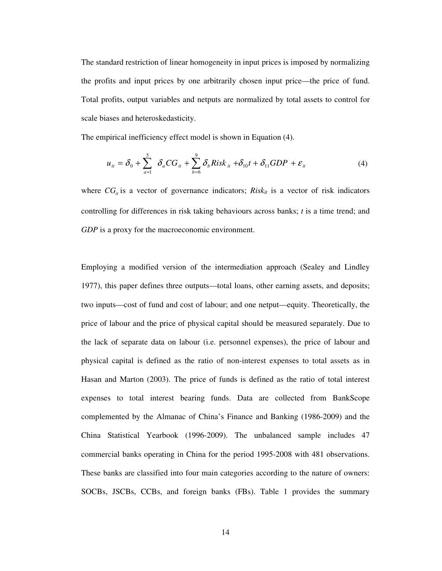The standard restriction of linear homogeneity in input prices is imposed by normalizing the profits and input prices by one arbitrarily chosen input price—the price of fund. Total profits, output variables and netputs are normalized by total assets to control for scale biases and heteroskedasticity.

The empirical inefficiency effect model is shown in Equation (4).

$$
u_{ii} = \delta_0 + \sum_{a=1}^{5} \delta_a CG_{it} + \sum_{b=6}^{9} \delta_b Risk_{it} + \delta_{10} t + \delta_{11} GDP + \varepsilon_{it}
$$
 (4)

where  $CG<sub>i</sub>$  is a vector of governance indicators; *Risk<sub>it</sub>* is a vector of risk indicators controlling for differences in risk taking behaviours across banks; *t* is a time trend; and *GDP* is a proxy for the macroeconomic environment.

Employing a modified version of the intermediation approach (Sealey and Lindley 1977), this paper defines three outputs—total loans, other earning assets, and deposits; two inputs—cost of fund and cost of labour; and one netput—equity. Theoretically, the price of labour and the price of physical capital should be measured separately. Due to the lack of separate data on labour (i.e. personnel expenses), the price of labour and physical capital is defined as the ratio of non-interest expenses to total assets as in Hasan and Marton (2003). The price of funds is defined as the ratio of total interest expenses to total interest bearing funds. Data are collected from BankScope complemented by the Almanac of China's Finance and Banking (1986-2009) and the China Statistical Yearbook (1996-2009). The unbalanced sample includes 47 commercial banks operating in China for the period 1995-2008 with 481 observations. These banks are classified into four main categories according to the nature of owners: SOCBs, JSCBs, CCBs, and foreign banks (FBs). Table 1 provides the summary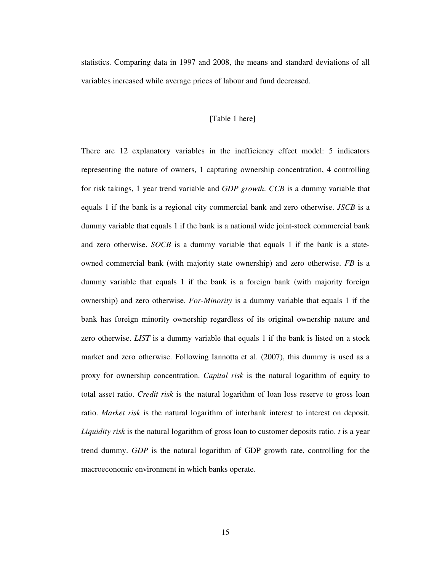statistics. Comparing data in 1997 and 2008, the means and standard deviations of all variables increased while average prices of labour and fund decreased.

## [Table 1 here]

There are 12 explanatory variables in the inefficiency effect model: 5 indicators representing the nature of owners, 1 capturing ownership concentration, 4 controlling for risk takings, 1 year trend variable and *GDP growth*. *CCB* is a dummy variable that equals 1 if the bank is a regional city commercial bank and zero otherwise. *JSCB* is a dummy variable that equals 1 if the bank is a national wide joint-stock commercial bank and zero otherwise. *SOCB* is a dummy variable that equals 1 if the bank is a stateowned commercial bank (with majority state ownership) and zero otherwise. *FB* is a dummy variable that equals 1 if the bank is a foreign bank (with majority foreign ownership) and zero otherwise. *For-Minority* is a dummy variable that equals 1 if the bank has foreign minority ownership regardless of its original ownership nature and zero otherwise. *LIST* is a dummy variable that equals 1 if the bank is listed on a stock market and zero otherwise. Following Iannotta et al. (2007), this dummy is used as a proxy for ownership concentration. *Capital risk* is the natural logarithm of equity to total asset ratio. *Credit risk* is the natural logarithm of loan loss reserve to gross loan ratio. *Market risk* is the natural logarithm of interbank interest to interest on deposit. *Liquidity risk* is the natural logarithm of gross loan to customer deposits ratio. *t* is a year trend dummy. *GDP* is the natural logarithm of GDP growth rate, controlling for the macroeconomic environment in which banks operate.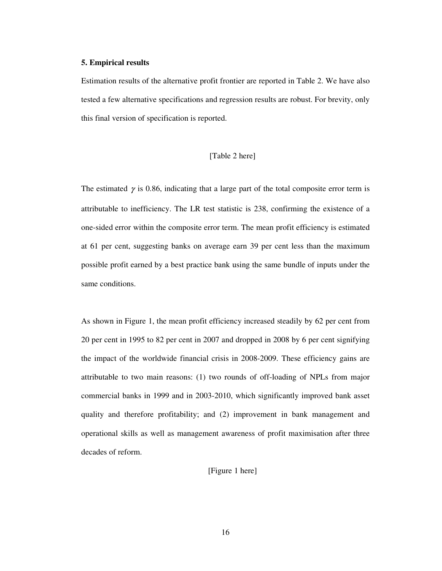#### **5. Empirical results**

Estimation results of the alternative profit frontier are reported in Table 2. We have also tested a few alternative specifications and regression results are robust. For brevity, only this final version of specification is reported.

## [Table 2 here]

The estimated  $\gamma$  is 0.86, indicating that a large part of the total composite error term is attributable to inefficiency. The LR test statistic is 238, confirming the existence of a one-sided error within the composite error term. The mean profit efficiency is estimated at 61 per cent, suggesting banks on average earn 39 per cent less than the maximum possible profit earned by a best practice bank using the same bundle of inputs under the same conditions.

As shown in Figure 1, the mean profit efficiency increased steadily by 62 per cent from 20 per cent in 1995 to 82 per cent in 2007 and dropped in 2008 by 6 per cent signifying the impact of the worldwide financial crisis in 2008-2009. These efficiency gains are attributable to two main reasons: (1) two rounds of off-loading of NPLs from major commercial banks in 1999 and in 2003-2010, which significantly improved bank asset quality and therefore profitability; and (2) improvement in bank management and operational skills as well as management awareness of profit maximisation after three decades of reform.

[Figure 1 here]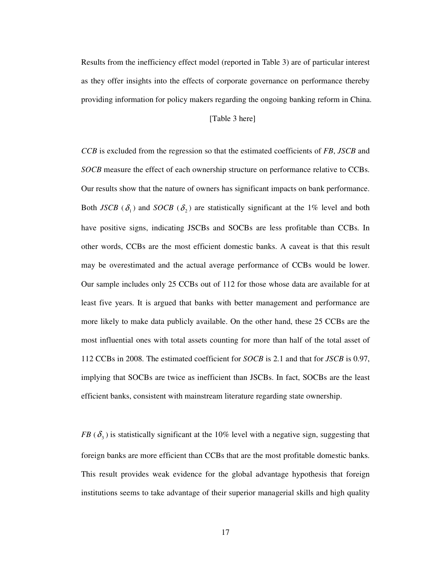Results from the inefficiency effect model (reported in Table 3) are of particular interest as they offer insights into the effects of corporate governance on performance thereby providing information for policy makers regarding the ongoing banking reform in China.

## [Table 3 here]

*CCB* is excluded from the regression so that the estimated coefficients of *FB*, *JSCB* and *SOCB* measure the effect of each ownership structure on performance relative to CCBs. Our results show that the nature of owners has significant impacts on bank performance. Both *JSCB* ( $\delta_1$ ) and *SOCB* ( $\delta_2$ ) are statistically significant at the 1% level and both have positive signs, indicating JSCBs and SOCBs are less profitable than CCBs. In other words, CCBs are the most efficient domestic banks. A caveat is that this result may be overestimated and the actual average performance of CCBs would be lower. Our sample includes only 25 CCBs out of 112 for those whose data are available for at least five years. It is argued that banks with better management and performance are more likely to make data publicly available. On the other hand, these 25 CCBs are the most influential ones with total assets counting for more than half of the total asset of 112 CCBs in 2008. The estimated coefficient for *SOCB* is 2.1 and that for *JSCB* is 0.97, implying that SOCBs are twice as inefficient than JSCBs. In fact, SOCBs are the least efficient banks, consistent with mainstream literature regarding state ownership.

*FB*  $(\delta_3)$  is statistically significant at the 10% level with a negative sign, suggesting that foreign banks are more efficient than CCBs that are the most profitable domestic banks. This result provides weak evidence for the global advantage hypothesis that foreign institutions seems to take advantage of their superior managerial skills and high quality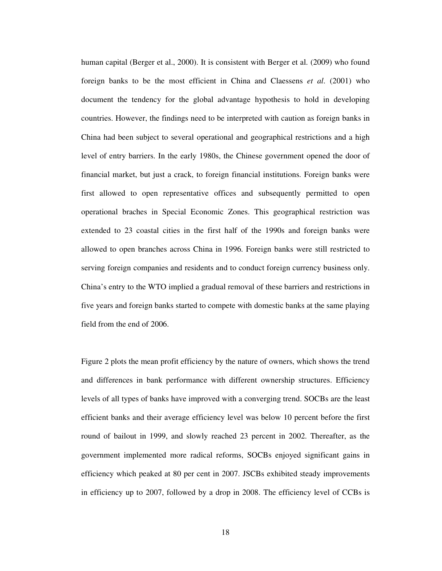human capital (Berger et al., 2000). It is consistent with Berger et al. (2009) who found foreign banks to be the most efficient in China and Claessens *et al*. (2001) who document the tendency for the global advantage hypothesis to hold in developing countries. However, the findings need to be interpreted with caution as foreign banks in China had been subject to several operational and geographical restrictions and a high level of entry barriers. In the early 1980s, the Chinese government opened the door of financial market, but just a crack, to foreign financial institutions. Foreign banks were first allowed to open representative offices and subsequently permitted to open operational braches in Special Economic Zones. This geographical restriction was extended to 23 coastal cities in the first half of the 1990s and foreign banks were allowed to open branches across China in 1996. Foreign banks were still restricted to serving foreign companies and residents and to conduct foreign currency business only. China's entry to the WTO implied a gradual removal of these barriers and restrictions in five years and foreign banks started to compete with domestic banks at the same playing field from the end of 2006.

Figure 2 plots the mean profit efficiency by the nature of owners, which shows the trend and differences in bank performance with different ownership structures. Efficiency levels of all types of banks have improved with a converging trend. SOCBs are the least efficient banks and their average efficiency level was below 10 percent before the first round of bailout in 1999, and slowly reached 23 percent in 2002. Thereafter, as the government implemented more radical reforms, SOCBs enjoyed significant gains in efficiency which peaked at 80 per cent in 2007. JSCBs exhibited steady improvements in efficiency up to 2007, followed by a drop in 2008. The efficiency level of CCBs is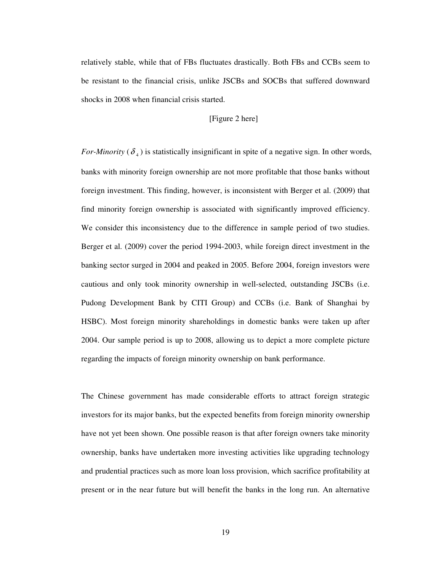relatively stable, while that of FBs fluctuates drastically. Both FBs and CCBs seem to be resistant to the financial crisis, unlike JSCBs and SOCBs that suffered downward shocks in 2008 when financial crisis started.

## [Figure 2 here]

*For-Minority* ( $\delta$ <sub>4</sub>) is statistically insignificant in spite of a negative sign. In other words, banks with minority foreign ownership are not more profitable that those banks without foreign investment. This finding, however, is inconsistent with Berger et al. (2009) that find minority foreign ownership is associated with significantly improved efficiency. We consider this inconsistency due to the difference in sample period of two studies. Berger et al. (2009) cover the period 1994-2003, while foreign direct investment in the banking sector surged in 2004 and peaked in 2005. Before 2004, foreign investors were cautious and only took minority ownership in well-selected, outstanding JSCBs (i.e. Pudong Development Bank by CITI Group) and CCBs (i.e. Bank of Shanghai by HSBC). Most foreign minority shareholdings in domestic banks were taken up after 2004. Our sample period is up to 2008, allowing us to depict a more complete picture regarding the impacts of foreign minority ownership on bank performance.

The Chinese government has made considerable efforts to attract foreign strategic investors for its major banks, but the expected benefits from foreign minority ownership have not yet been shown. One possible reason is that after foreign owners take minority ownership, banks have undertaken more investing activities like upgrading technology and prudential practices such as more loan loss provision, which sacrifice profitability at present or in the near future but will benefit the banks in the long run. An alternative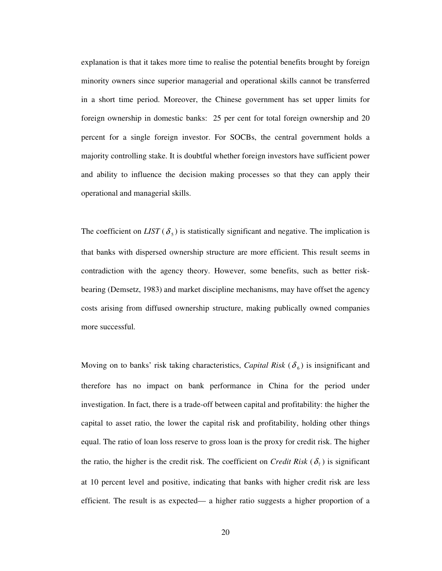explanation is that it takes more time to realise the potential benefits brought by foreign minority owners since superior managerial and operational skills cannot be transferred in a short time period. Moreover, the Chinese government has set upper limits for foreign ownership in domestic banks: 25 per cent for total foreign ownership and 20 percent for a single foreign investor. For SOCBs, the central government holds a majority controlling stake. It is doubtful whether foreign investors have sufficient power and ability to influence the decision making processes so that they can apply their operational and managerial skills.

The coefficient on *LIST* ( $\delta$ <sub>5</sub>) is statistically significant and negative. The implication is that banks with dispersed ownership structure are more efficient. This result seems in contradiction with the agency theory. However, some benefits, such as better riskbearing (Demsetz, 1983) and market discipline mechanisms, may have offset the agency costs arising from diffused ownership structure, making publically owned companies more successful.

Moving on to banks' risk taking characteristics, *Capital Risk* ( $\delta$ <sub>6</sub>) is insignificant and therefore has no impact on bank performance in China for the period under investigation. In fact, there is a trade-off between capital and profitability: the higher the capital to asset ratio, the lower the capital risk and profitability, holding other things equal. The ratio of loan loss reserve to gross loan is the proxy for credit risk. The higher the ratio, the higher is the credit risk. The coefficient on *Credit Risk* ( $\delta$ <sub>7</sub>) is significant at 10 percent level and positive, indicating that banks with higher credit risk are less efficient. The result is as expected— a higher ratio suggests a higher proportion of a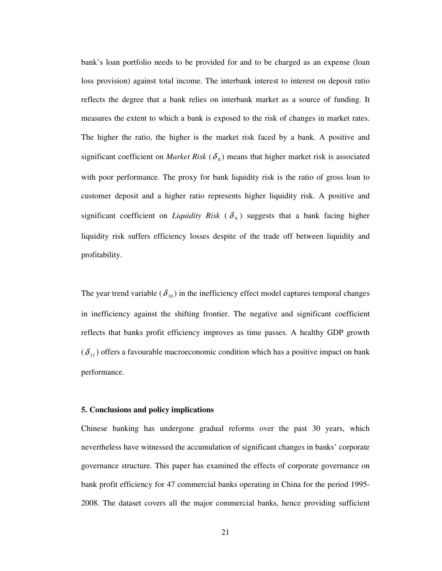bank's loan portfolio needs to be provided for and to be charged as an expense (loan loss provision) against total income. The interbank interest to interest on deposit ratio reflects the degree that a bank relies on interbank market as a source of funding. It measures the extent to which a bank is exposed to the risk of changes in market rates. The higher the ratio, the higher is the market risk faced by a bank. A positive and significant coefficient on *Market Risk* ( $\delta_s$ ) means that higher market risk is associated with poor performance. The proxy for bank liquidity risk is the ratio of gross loan to customer deposit and a higher ratio represents higher liquidity risk. A positive and significant coefficient on *Liquidity Risk* ( $\delta$ <sub>9</sub>) suggests that a bank facing higher liquidity risk suffers efficiency losses despite of the trade off between liquidity and profitability.

The year trend variable ( $\delta_{10}$ ) in the inefficiency effect model captures temporal changes in inefficiency against the shifting frontier. The negative and significant coefficient reflects that banks profit efficiency improves as time passes. A healthy GDP growth  $(\delta_{11})$  offers a favourable macroeconomic condition which has a positive impact on bank performance.

#### **5. Conclusions and policy implications**

Chinese banking has undergone gradual reforms over the past 30 years, which nevertheless have witnessed the accumulation of significant changes in banks' corporate governance structure. This paper has examined the effects of corporate governance on bank profit efficiency for 47 commercial banks operating in China for the period 1995- 2008. The dataset covers all the major commercial banks, hence providing sufficient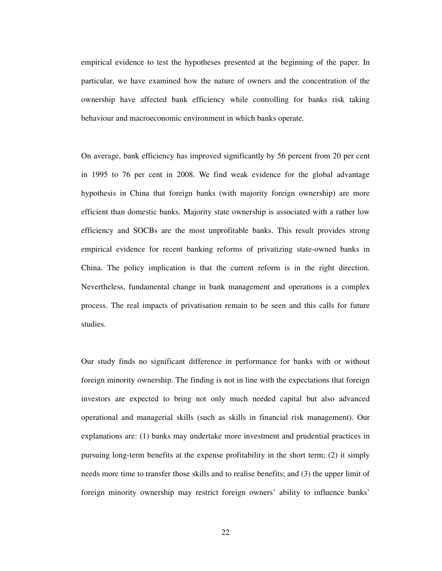empirical evidence to test the hypotheses presented at the beginning of the paper. In particular, we have examined how the nature of owners and the concentration of the ownership have affected bank efficiency while controlling for banks risk taking behaviour and macroeconomic environment in which banks operate.

On average, bank efficiency has improved significantly by 56 percent from 20 per cent in 1995 to 76 per cent in 2008. We find weak evidence for the global advantage hypothesis in China that foreign banks (with majority foreign ownership) are more efficient than domestic banks. Majority state ownership is associated with a rather low efficiency and SOCBs are the most unprofitable banks. This result provides strong empirical evidence for recent banking reforms of privatizing state-owned banks in China. The policy implication is that the current reform is in the right direction. Nevertheless, fundamental change in bank management and operations is a complex process. The real impacts of privatisation remain to be seen and this calls for future studies.

Our study finds no significant difference in performance for banks with or without foreign minority ownership. The finding is not in line with the expectations that foreign investors are expected to bring not only much needed capital but also advanced operational and managerial skills (such as skills in financial risk management). Our explanations are: (1) banks may undertake more investment and prudential practices in pursuing long-term benefits at the expense profitability in the short term; (2) it simply needs more time to transfer those skills and to realise benefits; and (3) the upper limit of foreign minority ownership may restrict foreign owners' ability to influence banks'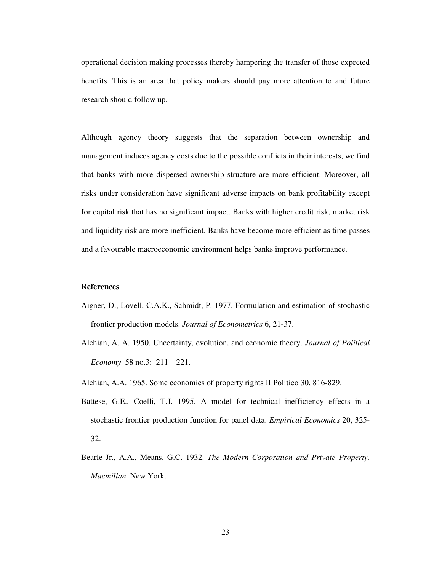operational decision making processes thereby hampering the transfer of those expected benefits. This is an area that policy makers should pay more attention to and future research should follow up.

Although agency theory suggests that the separation between ownership and management induces agency costs due to the possible conflicts in their interests, we find that banks with more dispersed ownership structure are more efficient. Moreover, all risks under consideration have significant adverse impacts on bank profitability except for capital risk that has no significant impact. Banks with higher credit risk, market risk and liquidity risk are more inefficient. Banks have become more efficient as time passes and a favourable macroeconomic environment helps banks improve performance.

### **References**

- Aigner, D., Lovell, C.A.K., Schmidt, P. 1977. Formulation and estimation of stochastic frontier production models. *Journal of Econometrics* 6, 21-37.
- Alchian, A. A. 1950. Uncertainty, evolution, and economic theory. *Journal of Political Economy* 58 no.3: 211–221.
- Alchian, A.A. 1965. Some economics of property rights II Politico 30, 816-829.
- Battese, G.E., Coelli, T.J. 1995. A model for technical inefficiency effects in a stochastic frontier production function for panel data. *Empirical Economics* 20, 325- 32.
- Bearle Jr., A.A., Means, G.C. 1932. *The Modern Corporation and Private Property. Macmillan*. New York.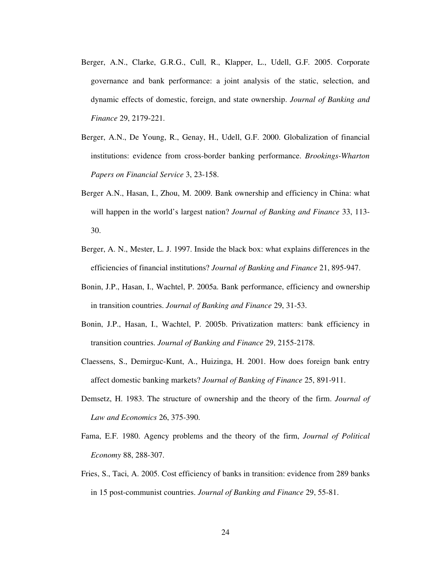- Berger, A.N., Clarke, G.R.G., Cull, R., Klapper, L., Udell, G.F. 2005. Corporate governance and bank performance: a joint analysis of the static, selection, and dynamic effects of domestic, foreign, and state ownership. *Journal of Banking and Finance* 29, 2179-221.
- Berger, A.N., De Young, R., Genay, H., Udell, G.F. 2000. Globalization of financial institutions: evidence from cross-border banking performance. *Brookings-Wharton Papers on Financial Service* 3, 23-158.
- Berger A.N., Hasan, I., Zhou, M. 2009. Bank ownership and efficiency in China: what will happen in the world's largest nation? *Journal of Banking and Finance* 33, 113- 30.
- Berger, A. N., Mester, L. J. 1997. Inside the black box: what explains differences in the efficiencies of financial institutions? *Journal of Banking and Finance* 21, 895-947.
- Bonin, J.P., Hasan, I., Wachtel, P. 2005a. Bank performance, efficiency and ownership in transition countries. *Journal of Banking and Finance* 29, 31-53.
- Bonin, J.P., Hasan, I., Wachtel, P. 2005b. Privatization matters: bank efficiency in transition countries. *Journal of Banking and Finance* 29, 2155-2178.
- Claessens, S., Demirguc-Kunt, A., Huizinga, H. 2001. How does foreign bank entry affect domestic banking markets? *Journal of Banking of Finance* 25, 891-911.
- Demsetz, H. 1983. The structure of ownership and the theory of the firm. *Journal of Law and Economics* 26, 375-390.
- Fama, E.F. 1980. Agency problems and the theory of the firm, *Journal of Political Economy* 88, 288-307.
- Fries, S., Taci, A. 2005. Cost efficiency of banks in transition: evidence from 289 banks in 15 post-communist countries. *Journal of Banking and Finance* 29, 55-81.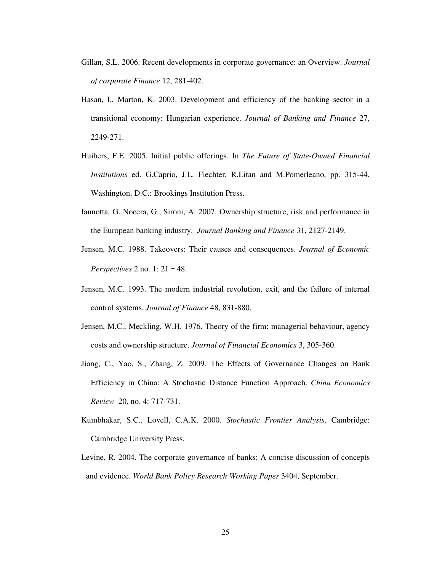- Gillan, S.L. 2006. Recent developments in corporate governance: an Overview. *Journal of corporate Finance* 12, 281-402.
- Hasan, I., Marton, K. 2003. Development and efficiency of the banking sector in a transitional economy: Hungarian experience. *Journal of Banking and Finance* 27, 2249-271.
- Huibers, F.E. 2005. Initial public offerings. In *The Future of State-Owned Financial Institutions* ed. G.Caprio, J.L. Fiechter, R.Litan and M.Pomerleano, pp. 315-44. Washington, D.C.: Brookings Institution Press.
- Iannotta, G. Nocera, G., Sironi, A. 2007. Ownership structure, risk and performance in the European banking industry. *Journal Banking and Finance* 31, 2127-2149.
- Jensen, M.C. 1988. Takeovers: Their causes and consequences. *Journal of Economic Perspectives* 2 no. 1: 21–48.
- Jensen, M.C. 1993. The modern industrial revolution, exit, and the failure of internal control systems. *Journal of Finance* 48, 831-880.
- Jensen, M.C., Meckling, W.H. 1976. Theory of the firm: managerial behaviour, agency costs and ownership structure. *Journal of Financial Economics* 3, 305-360.
- Jiang, C., Yao, S., Zhang, Z. 2009. The Effects of Governance Changes on Bank Efficiency in China: A Stochastic Distance Function Approach. *China Economics Review* 20, no. 4: 717-731.
- Kumbhakar, S.C., Lovell, C.A.K. 2000. *Stochastic Frontier Analysis*, Cambridge: Cambridge University Press.
- Levine, R. 2004. The corporate governance of banks: A concise discussion of concepts and evidence. *World Bank Policy Research Working Paper* 3404, September.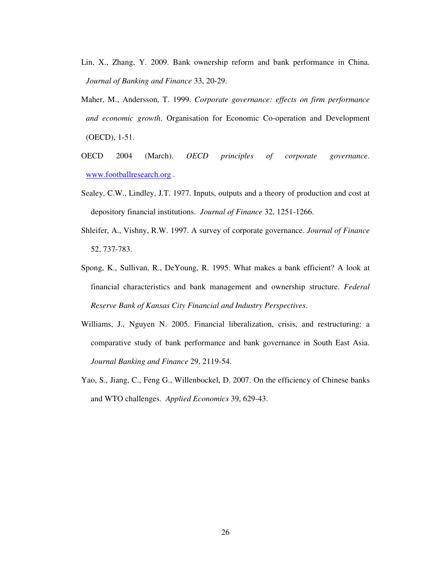- Lin, X., Zhang, Y. 2009. Bank ownership reform and bank performance in China. *Journal of Banking and Finance* 33, 20-29.
- Maher, M., Andersson, T. 1999. *Corporate governance: effects on firm performance and economic growth*. Organisation for Economic Co-operation and Development (OECD), 1-51.
- OECD 2004 (March). *OECD principles of corporate governance*. www.footballresearch.org .
- Sealey, C.W., Lindley, J.T. 1977. Inputs, outputs and a theory of production and cost at depository financial institutions. *Journal of Finance* 32, 1251-1266.
- Shleifer, A., Vishny, R.W. 1997. A survey of corporate governance. *Journal of Finance* 52, 737-783.
- Spong, K., Sullivan, R., DeYoung, R. 1995. What makes a bank efficient? A look at financial characteristics and bank management and ownership structure. *Federal Reserve Bank of Kansas City Financial and Industry Perspectives*.
- Williams, J., Nguyen N. 2005. Financial liberalization, crisis, and restructuring: a comparative study of bank performance and bank governance in South East Asia. *Journal Banking and Finance* 29, 2119-54.
- Yao, S., Jiang, C., Feng G., Willenbockel, D. 2007. On the efficiency of Chinese banks and WTO challenges. *Applied Economics* 39, 629-43.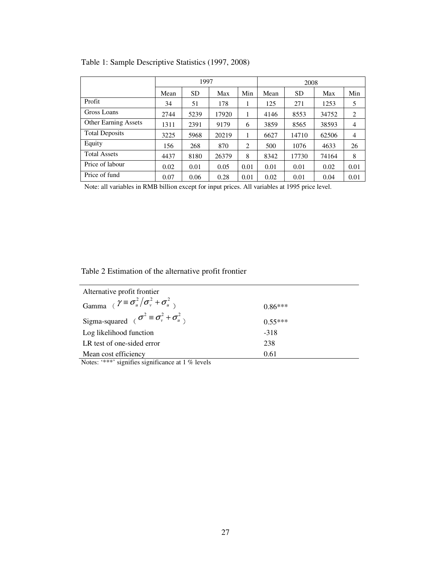|                             | 1997 |           |       | 2008 |      |       |       |                |
|-----------------------------|------|-----------|-------|------|------|-------|-------|----------------|
|                             | Mean | <b>SD</b> | Max   | Min  | Mean | SD.   | Max   | Min            |
| Profit                      | 34   | 51        | 178   | 1    | 125  | 271   | 1253  | 5              |
| Gross Loans                 | 2744 | 5239      | 17920 | 1    | 4146 | 8553  | 34752 | 2              |
| <b>Other Earning Assets</b> | 1311 | 2391      | 9179  | 6    | 3859 | 8565  | 38593 | $\overline{4}$ |
| <b>Total Deposits</b>       | 3225 | 5968      | 20219 | 1    | 6627 | 14710 | 62506 | $\overline{4}$ |
| Equity                      | 156  | 268       | 870   | 2    | 500  | 1076  | 4633  | 26             |
| <b>Total Assets</b>         | 4437 | 8180      | 26379 | 8    | 8342 | 17730 | 74164 | 8              |
| Price of labour             | 0.02 | 0.01      | 0.05  | 0.01 | 0.01 | 0.01  | 0.02  | 0.01           |
| Price of fund               | 0.07 | 0.06      | 0.28  | 0.01 | 0.02 | 0.01  | 0.04  | 0.01           |

Table 1: Sample Descriptive Statistics (1997, 2008)

Note: all variables in RMB billion except for input prices. All variables at 1995 price level.

Table 2 Estimation of the alternative profit frontier

| Alternative profit frontier                                    |           |
|----------------------------------------------------------------|-----------|
| Gamma ( $\gamma \equiv \sigma_u^2 / \sigma_v^2 + \sigma_u^2$ ) | $0.86***$ |
| Sigma-squared ( $\sigma^2 \equiv \sigma_v^2 + \sigma_u^2$ )    | $0.55***$ |
| Log likelihood function                                        | $-318$    |
| LR test of one-sided error                                     | 238       |
| Mean cost efficiency                                           | 0.61      |

Notes: '\*\*\*' signifies significance at 1 % levels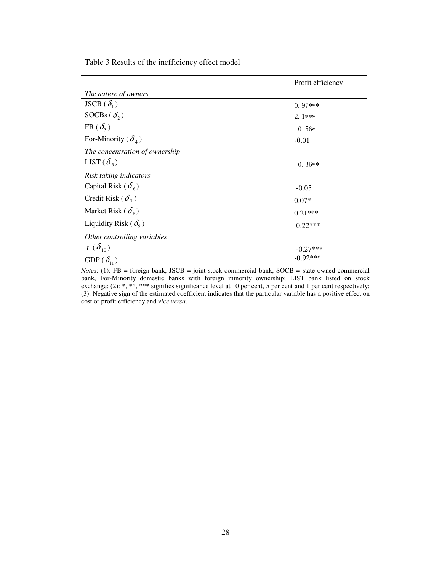Table 3 Results of the inefficiency effect model

|                                          | Profit efficiency |
|------------------------------------------|-------------------|
| The nature of owners                     |                   |
| JSCB $(\delta_1)$                        | $0.97***$         |
| SOCBs $(\delta_2)$                       | $2.1***$          |
| FB $(\delta_3)$                          | $-0.56*$          |
| For-Minority ( $\delta_4$ )              | $-0.01$           |
| The concentration of ownership           |                   |
| LIST $(\delta_{5})$                      | $-0.36**$         |
| Risk taking indicators                   |                   |
| Capital Risk ( $\delta_{6}$ )            | $-0.05$           |
| Credit Risk ( $\delta$ <sub>7</sub> )    | $0.07*$           |
| Market Risk ( $\delta_{\rm s}$ )         | $0.21***$         |
| Liquidity Risk ( $\delta$ <sub>9</sub> ) | $0.22***$         |
| Other controlling variables              |                   |
| $t(\delta_{10})$                         | $-0.27***$        |
| GDP $(\delta_{11})$                      | $-0.92***$        |

*Notes*: (1): FB = foreign bank, JSCB = joint-stock commercial bank, SOCB = state-owned commercial bank, For-Minority=domestic banks with foreign minority ownership; LIST=bank listed on stock exchange; (2): \*, \*\*, \*\*\* signifies significance level at 10 per cent, 5 per cent and 1 per cent respectively; (3): Negative sign of the estimated coefficient indicates that the particular variable has a positive effect on cost or profit efficiency and *vice versa*.